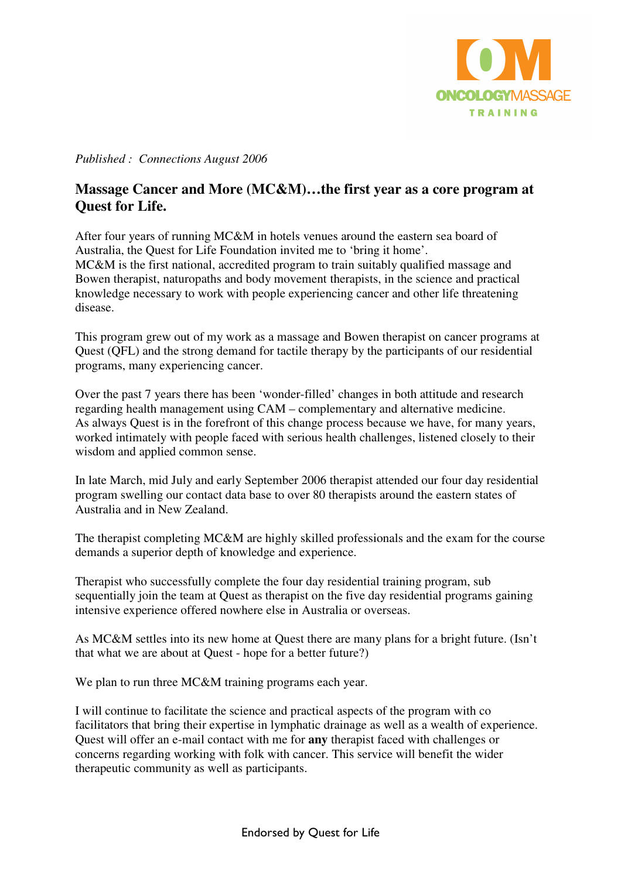

*Published : Connections August 2006* 

## **Massage Cancer and More (MC&M)…the first year as a core program at Quest for Life.**

After four years of running MC&M in hotels venues around the eastern sea board of Australia, the Quest for Life Foundation invited me to 'bring it home'. MC&M is the first national, accredited program to train suitably qualified massage and Bowen therapist, naturopaths and body movement therapists, in the science and practical knowledge necessary to work with people experiencing cancer and other life threatening disease.

This program grew out of my work as a massage and Bowen therapist on cancer programs at Quest (QFL) and the strong demand for tactile therapy by the participants of our residential programs, many experiencing cancer.

Over the past 7 years there has been 'wonder-filled' changes in both attitude and research regarding health management using CAM – complementary and alternative medicine. As always Quest is in the forefront of this change process because we have, for many years, worked intimately with people faced with serious health challenges, listened closely to their wisdom and applied common sense.

In late March, mid July and early September 2006 therapist attended our four day residential program swelling our contact data base to over 80 therapists around the eastern states of Australia and in New Zealand.

The therapist completing MC&M are highly skilled professionals and the exam for the course demands a superior depth of knowledge and experience.

Therapist who successfully complete the four day residential training program, sub sequentially join the team at Quest as therapist on the five day residential programs gaining intensive experience offered nowhere else in Australia or overseas.

As MC&M settles into its new home at Quest there are many plans for a bright future. (Isn't that what we are about at Quest - hope for a better future?)

We plan to run three MC&M training programs each year.

I will continue to facilitate the science and practical aspects of the program with co facilitators that bring their expertise in lymphatic drainage as well as a wealth of experience. Quest will offer an e-mail contact with me for **any** therapist faced with challenges or concerns regarding working with folk with cancer. This service will benefit the wider therapeutic community as well as participants.